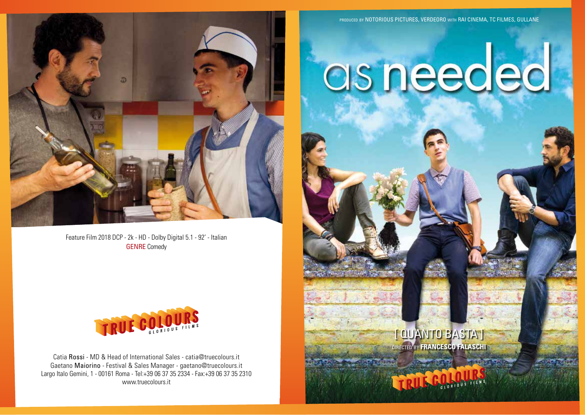

Feature Film 2018 DCP - 2k - HD - Dolby Digital 5.1 - 92' - Italian GENRE Comedy



Catia Rossi - MD & Head of International Sales - catia@truecolours.it Gaetano Maiorino - Festival & Sales Manager - gaetano@truecolours.it Largo Italo Gemini, 1 - 00161 Roma - Tel:+39 06 37 35 2334 - Fax:+39 06 37 35 2310 www.truecolours.it

PRODUCED BY NOTORIOUS PICTURES, VERDEORO WITH RAI CINEMA, TC FILMES, GULLANE

# as needed

directed by **francesco falaschi** [ QUANTO BASTA]

GLORIOUS FILMS